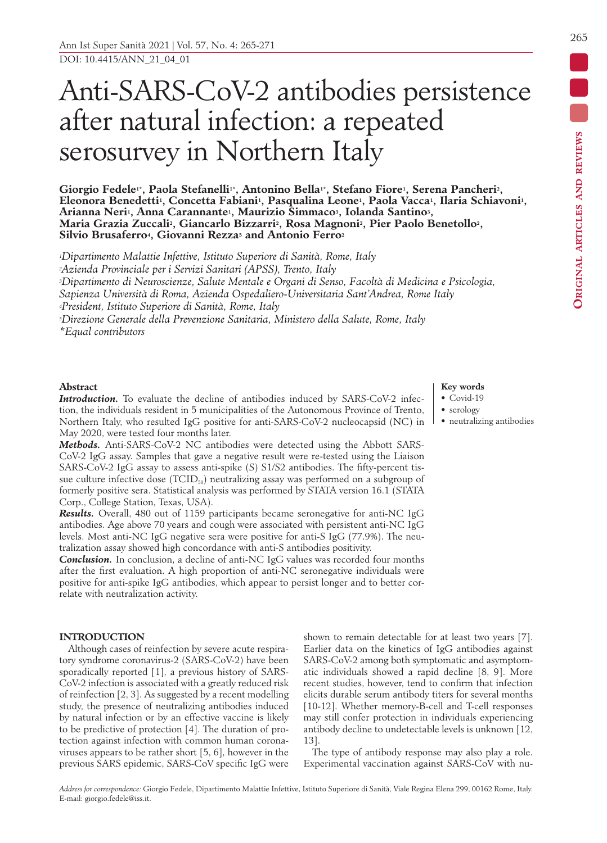## Anti-SARS-CoV-2 antibodies persistence after natural infection: a repeated serosurvey in Northern Italy

Giorgio Fedele<sup>1\*</sup>, Paola Stefanelli<sup>1\*</sup>, Antonino Bella<sup>1\*</sup>, Stefano Fiore<sup>1</sup>, Serena Pancheri<sup>2</sup>, Eleonora Benedetti<sup>1</sup>, Concetta Fabiani<sup>1</sup>, Pasqualina Leone<sup>1</sup>, Paola Vacca<sup>1</sup>, Ilaria Schiavoni<sup>1</sup>, **Arianna Neri1, Anna Carannante1, Maurizio Simmaco3, Iolanda Santino3, Maria Grazia Zuccali2, Giancarlo Bizzarri2, Rosa Magnoni2, Pier Paolo Benetollo2, Silvio Brusaferro4, Giovanni Rezza5 and Antonio Ferro2**

*1Dipartimento Malattie Infettive, Istituto Superiore di Sanità, Rome, Italy 2Azienda Provinciale per i Servizi Sanitari (APSS), Trento, Italy 3Dipartimento di Neuroscienze, Salute Mentale e Organi di Senso, Facoltà di Medicina e Psicologia, Sapienza Università di Roma, Azienda Ospedaliero-Universitaria Sant'Andrea, Rome Italy 4President, Istituto Superiore di Sanità, Rome, Italy 5Direzione Generale della Prevenzione Sanitaria, Ministero della Salute, Rome, Italy \*Equal contributors*

#### **Abstract**

**Introduction.** To evaluate the decline of antibodies induced by SARS-CoV-2 infection, the individuals resident in 5 municipalities of the Autonomous Province of Trento, Northern Italy, who resulted IgG positive for anti-SARS-CoV-2 nucleocapsid (NC) in May 2020, were tested four months later.

*Methods.* Anti-SARS-CoV-2 NC antibodies were detected using the Abbott SARS-CoV-2 IgG assay. Samples that gave a negative result were re-tested using the Liaison SARS-CoV-2 IgG assay to assess anti-spike (S) S1/S2 antibodies. The fifty-percent tissue culture infective dose  $(TCID<sub>50</sub>)$  neutralizing assay was performed on a subgroup of formerly positive sera. Statistical analysis was performed by STATA version 16.1 (STATA Corp., College Station, Texas, USA).

*Results.* Overall, 480 out of 1159 participants became seronegative for anti-NC IgG antibodies. Age above 70 years and cough were associated with persistent anti-NC IgG levels. Most anti-NC IgG negative sera were positive for anti-S IgG (77.9%). The neutralization assay showed high concordance with anti-S antibodies positivity.

*Conclusion.* In conclusion, a decline of anti-NC IgG values was recorded four months after the first evaluation. A high proportion of anti-NC seronegative individuals were positive for anti-spike IgG antibodies, which appear to persist longer and to better correlate with neutralization activity.

#### **INTRODUCTION**

Although cases of reinfection by severe acute respiratory syndrome coronavirus-2 (SARS-CoV-2) have been sporadically reported [1], a previous history of SARS-CoV-2 infection is associated with a greatly reduced risk of reinfection [2, 3]. As suggested by a recent modelling study, the presence of neutralizing antibodies induced by natural infection or by an effective vaccine is likely to be predictive of protection [4]. The duration of protection against infection with common human coronaviruses appears to be rather short [5, 6], however in the previous SARS epidemic, SARS-CoV specific IgG were shown to remain detectable for at least two years [7]. Earlier data on the kinetics of IgG antibodies against SARS-CoV-2 among both symptomatic and asymptomatic individuals showed a rapid decline [8, 9]. More recent studies, however, tend to confirm that infection elicits durable serum antibody titers for several months [10-12]. Whether memory-B-cell and T-cell responses may still confer protection in individuals experiencing antibody decline to undetectable levels is unknown [12, 13].

The type of antibody response may also play a role. Experimental vaccination against SARS-CoV with nu-

# DOI: 10.4415/ANN\_21\_04\_01

### **Key words**

- Covid-19
- serology • neutralizing antibodies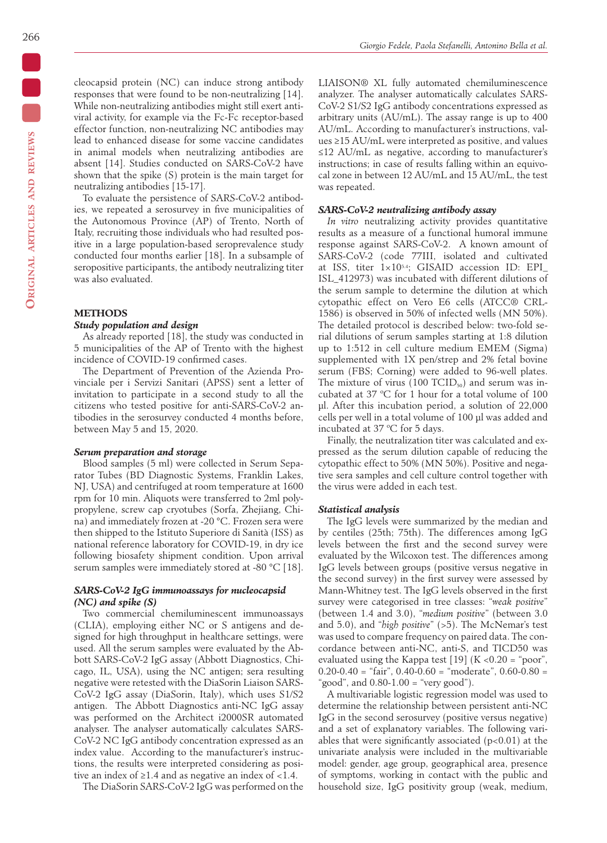cleocapsid protein (NC) can induce strong antibody responses that were found to be non-neutralizing [14]. While non-neutralizing antibodies might still exert antiviral activity, for example via the Fc-Fc receptor-based effector function, non-neutralizing NC antibodies may lead to enhanced disease for some vaccine candidates in animal models when neutralizing antibodies are absent [14]. Studies conducted on SARS-CoV-2 have shown that the spike (S) protein is the main target for neutralizing antibodies [15-17].

To evaluate the persistence of SARS-CoV-2 antibodies, we repeated a serosurvey in five municipalities of the Autonomous Province (AP) of Trento, North of Italy, recruiting those individuals who had resulted positive in a large population-based seroprevalence study conducted four months earlier [18]. In a subsample of seropositive participants, the antibody neutralizing titer was also evaluated.

#### **METHODS**

#### *Study population and design*

As already reported [18], the study was conducted in 5 municipalities of the AP of Trento with the highest incidence of COVID-19 confirmed cases.

The Department of Prevention of the Azienda Provinciale per i Servizi Sanitari (APSS) sent a letter of invitation to participate in a second study to all the citizens who tested positive for anti-SARS-CoV-2 antibodies in the serosurvey conducted 4 months before, between May 5 and 15, 2020.

#### *Serum preparation and storage*

Blood samples (5 ml) were collected in Serum Separator Tubes (BD Diagnostic Systems, Franklin Lakes, NJ, USA) and centrifuged at room temperature at 1600 rpm for 10 min. Aliquots were transferred to 2ml polypropylene, screw cap cryotubes (Sorfa, Zhejiang, China) and immediately frozen at -20 °C. Frozen sera were then shipped to the Istituto Superiore di Sanità (ISS) as national reference laboratory for COVID-19, in dry ice following biosafety shipment condition. Upon arrival serum samples were immediately stored at -80 °C [18].

#### *SARS-CoV-2 IgG immunoassays for nucleocapsid (NC) and spike (S)*

Two commercial chemiluminescent immunoassays (CLIA), employing either NC or S antigens and designed for high throughput in healthcare settings, were used. All the serum samples were evaluated by the Abbott SARS-CoV-2 IgG assay (Abbott Diagnostics, Chicago, IL, USA), using the NC antigen; sera resulting negative were retested with the DiaSorin Liaison SARS-CoV-2 IgG assay (DiaSorin, Italy), which uses S1/S2 antigen. The Abbott Diagnostics anti-NC IgG assay was performed on the Architect i2000SR automated analyser. The analyser automatically calculates SARS-CoV-2 NC IgG antibody concentration expressed as an index value. According to the manufacturer's instructions, the results were interpreted considering as positive an index of  $\geq 1.4$  and as negative an index of <1.4.

The DiaSorin SARS-CoV-2 IgG was performed on the

LIAISON® XL fully automated chemiluminescence analyzer. The analyser automatically calculates SARS-CoV-2 S1/S2 IgG antibody concentrations expressed as arbitrary units (AU/mL). The assay range is up to 400 AU/mL. According to manufacturer's instructions, values ≥15 AU/mL were interpreted as positive, and values ≤12 AU/mL as negative, according to manufacturer's instructions; in case of results falling within an equivocal zone in between 12 AU/mL and 15 AU/mL, the test was repeated.

#### *SARS-CoV-2 neutralizing antibody assay*

*In vitro* neutralizing activity provides quantitative results as a measure of a functional humoral immune response against SARS-CoV-2. A known amount of SARS-CoV-2 (code 77III, isolated and cultivated at ISS, titer  $1\times10^{5.4}$ ; GISAID accession ID: EPI ISL\_412973) was incubated with different dilutions of the serum sample to determine the dilution at which cytopathic effect on Vero E6 cells (ATCC® CRL-1586) is observed in 50% of infected wells (MN 50%). The detailed protocol is described below: two-fold serial dilutions of serum samples starting at 1:8 dilution up to 1:512 in cell culture medium EMEM (Sigma) supplemented with 1X pen/strep and 2% fetal bovine serum (FBS; Corning) were added to 96-well plates. The mixture of virus (100 TCID $_{50}$ ) and serum was incubated at 37 ºC for 1 hour for a total volume of 100 µl. After this incubation period, a solution of 22,000 cells per well in a total volume of 100 µl was added and incubated at 37 ºC for 5 days.

Finally, the neutralization titer was calculated and expressed as the serum dilution capable of reducing the cytopathic effect to 50% (MN 50%). Positive and negative sera samples and cell culture control together with the virus were added in each test.

#### *Statistical analysis*

The IgG levels were summarized by the median and by centiles (25th; 75th). The differences among IgG levels between the first and the second survey were evaluated by the Wilcoxon test. The differences among IgG levels between groups (positive versus negative in the second survey) in the first survey were assessed by Mann-Whitney test. The IgG levels observed in the first survey were categorised in tree classes: "*weak positive*" (between 1.4 and 3.0), "*medium positive*" (between 3.0 and 5.0), and "*high positive*" (>5). The McNemar's test was used to compare frequency on paired data. The concordance between anti-NC, anti-S, and TICD50 was evaluated using the Kappa test [19]  $(K < 0.20 = "poor",$  $0.20 - 0.40 =$  "fair",  $0.40 - 0.60 =$  "moderate",  $0.60 - 0.80 =$ "good", and  $0.80-1.00 =$  "very good").

A multivariable logistic regression model was used to determine the relationship between persistent anti-NC IgG in the second serosurvey (positive versus negative) and a set of explanatory variables. The following variables that were significantly associated  $(p<0.01)$  at the univariate analysis were included in the multivariable model: gender, age group, geographical area, presence of symptoms, working in contact with the public and household size, IgG positivity group (weak, medium,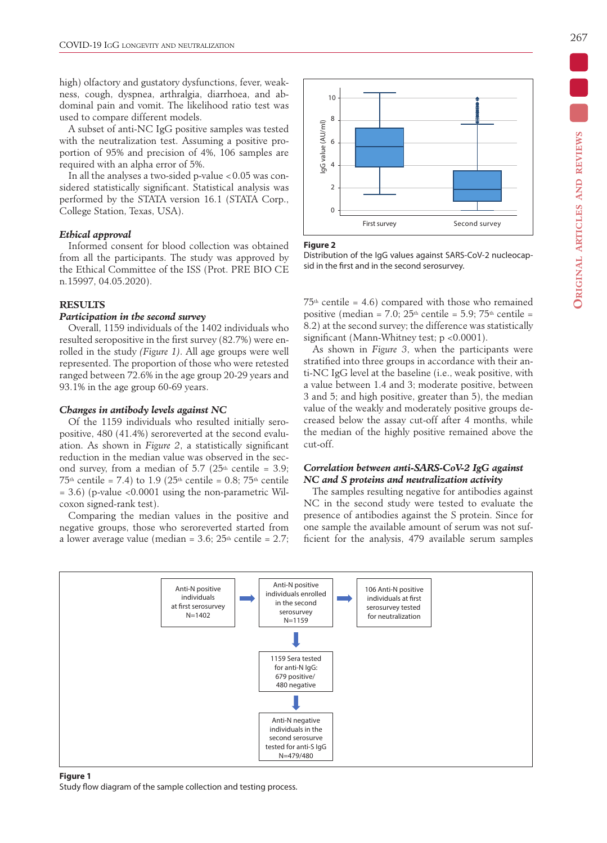high) olfactory and gustatory dysfunctions, fever, weakness, cough, dyspnea, arthralgia, diarrhoea, and abdominal pain and vomit. The likelihood ratio test was used to compare different models.

A subset of anti-NC IgG positive samples was tested with the neutralization test. Assuming a positive proportion of 95% and precision of 4%, 106 samples are required with an alpha error of 5%.

In all the analyses a two-sided p-value  $< 0.05$  was considered statistically significant. Statistical analysis was performed by the STATA version 16.1 (STATA Corp., College Station, Texas, USA).

#### *Ethical approval*

Informed consent for blood collection was obtained from all the participants. The study was approved by the Ethical Committee of the ISS (Prot. PRE BIO CE n.15997, 04.05.2020).

#### **RESULTS**

#### *Participation in the second survey*

Overall, 1159 individuals of the 1402 individuals who resulted seropositive in the first survey (82.7%) were enrolled in the study *(Figure 1)*. All age groups were well represented. The proportion of those who were retested ranged between 72.6% in the age group 20-29 years and 93.1% in the age group 60-69 years.

#### *Changes in antibody levels against NC*

Of the 1159 individuals who resulted initially seropositive, 480 (41.4%) seroreverted at the second evaluation. As shown in *Figure 2*, a statistically significant reduction in the median value was observed in the second survey, from a median of  $5.7$  ( $25<sup>th</sup>$  centile = 3.9;  $75<sup>th</sup>$  centile = 7.4) to 1.9 (25<sup>th</sup> centile = 0.8; 75<sup>th</sup> centile = 3.6) (p-value <0.0001 using the non-parametric Wilcoxon signed-rank test).

Comparing the median values in the positive and negative groups, those who seroreverted started from a lower average value (median =  $3.6$ ;  $25<sup>th</sup>$  centile =  $2.7$ ;



#### **Figure 2**

Distribution of the IgG values against SARS-CoV-2 nucleocapsid in the first and in the second serosurvey.

 $75<sup>th</sup>$  centile = 4.6) compared with those who remained positive (median = 7.0;  $25<sup>th</sup>$  centile = 5.9;  $75<sup>th</sup>$  centile = 8.2) at the second survey; the difference was statistically significant (Mann-Whitney test; p <0.0001).

As shown in *Figure 3*, when the participants were stratified into three groups in accordance with their anti-NC IgG level at the baseline (i.e., weak positive, with a value between 1.4 and 3; moderate positive, between 3 and 5; and high positive, greater than 5), the median value of the weakly and moderately positive groups decreased below the assay cut-off after 4 months, while the median of the highly positive remained above the cut-off.

#### *Correlation between anti-SARS-CoV-2 IgG against NC and S proteins and neutralization activity*

The samples resulting negative for antibodies against NC in the second study were tested to evaluate the presence of antibodies against the S protein. Since for one sample the available amount of serum was not sufficient for the analysis, 479 available serum samples



#### **Figure 1**

Study flow diagram of the sample collection and testing process.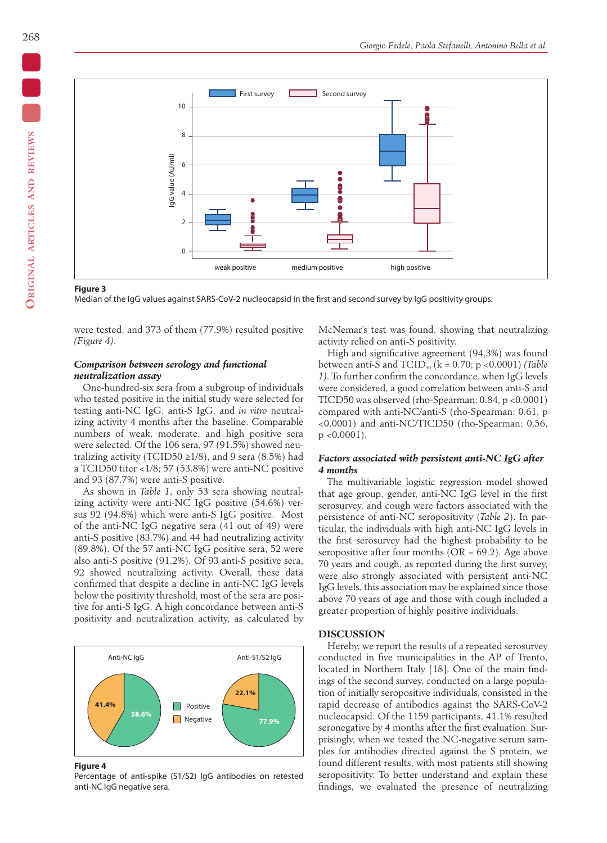

#### **Figure 3**

Median of the IgG values against SARS-CoV-2 nucleocapsid in the first and second survey by IgG positivity groups.

were tested, and 373 of them (77.9%) resulted positive *(Figure 4)*.

#### *Comparison between serology and functional neutralization assay*

One-hundred-six sera from a subgroup of individuals who tested positive in the initial study were selected for testing anti-NC IgG, anti-S IgG, and *in vitro* neutralizing activity 4 months after the baseline. Comparable numbers of weak, moderate, and high positive sera were selected. Of the 106 sera, 97 (91.5%) showed neutralizing activity (TCID50  $\geq$ 1/8), and 9 sera (8.5%) had a TCID50 titer <1/8; 57 (53.8%) were anti-NC positive and 93 (87.7%) were anti-S positive.

As shown in *Table 1*, only 53 sera showing neutralizing activity were anti-NC IgG positive (54.6%) versus 92 (94.8%) which were anti-S IgG positive. Most of the anti-NC IgG negative sera (41 out of 49) were anti-S positive (83.7%) and 44 had neutralizing activity (89.8%). Of the 57 anti-NC IgG positive sera, 52 were also anti-S positive (91.2%). Of 93 anti-S positive sera, 92 showed neutralizing activity. Overall, these data confirmed that despite a decline in anti-NC IgG levels below the positivity threshold, most of the sera are positive for anti-S IgG. A high concordance between anti-S positivity and neutralization activity, as calculated by



**Figure 4**

Percentage of anti-spike (S1/S2) IgG antibodies on retested anti-NC IgG negative sera.

McNemar's test was found, showing that neutralizing activity relied on anti-S positivity.

High and significative agreement (94,3%) was found between anti-S and TCID<sub>50</sub> (k = 0.70; p < 0.0001) *(Table 1)*. To further confirm the concordance, when IgG levels were considered, a good correlation between anti-S and TICD50 was observed (rho-Spearman: 0.84, p <0.0001) compared with anti-NC/anti-S (rho-Spearman: 0.61, p <0.0001) and anti-NC/TICD50 (rho-Spearman: 0.56,  $p < 0.0001$ ).

#### *Factors associated with persistent anti-NC IgG after 4 months*

The multivariable logistic regression model showed that age group, gender, anti-NC IgG level in the first serosurvey, and cough were factors associated with the persistence of anti-NC seropositivity (*Table 2*). In particular, the individuals with high anti-NC IgG levels in the first serosurvey had the highest probability to be seropositive after four months ( $OR = 69.2$ ). Age above 70 years and cough, as reported during the first survey, were also strongly associated with persistent anti-NC IgG levels, this association may be explained since those above 70 years of age and those with cough included a greater proportion of highly positive individuals.

#### **DISCUSSION**

Hereby, we report the results of a repeated serosurvey conducted in five municipalities in the AP of Trento, located in Northern Italy [18]. One of the main findings of the second survey, conducted on a large population of initially seropositive individuals, consisted in the rapid decrease of antibodies against the SARS-CoV-2 nucleocapsid. Of the 1159 participants, 41.1% resulted seronegative by 4 months after the first evaluation. Surprisingly, when we tested the NC-negative serum samples for antibodies directed against the S protein, we found different results, with most patients still showing seropositivity. To better understand and explain these findings, we evaluated the presence of neutralizing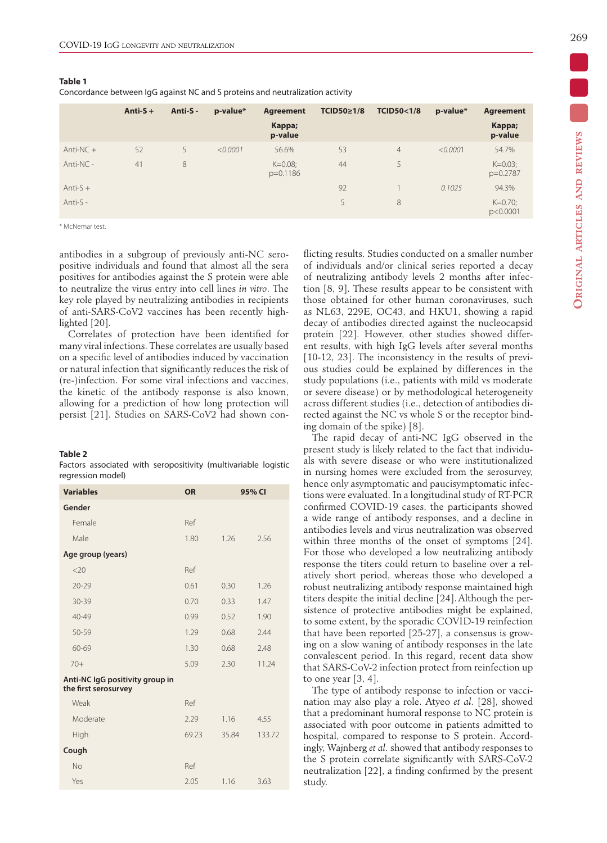#### **Table 1**

Concordance between IgG against NC and S proteins and neutralization activity

|             | Anti- $S +$ | Anti-S - | p-value* | Agreement                | TCID50≥1/8 | <b>TCID50&lt;1/8</b> | p-value* | <b>Agreement</b>       |
|-------------|-------------|----------|----------|--------------------------|------------|----------------------|----------|------------------------|
|             |             |          |          | Kappa;<br>p-value        |            |                      |          | Kappa;<br>p-value      |
| Anti-NC $+$ | 52          | 5        | < 0.0001 | 56.6%                    | 53         | $\overline{4}$       | < 0.0001 | 54.7%                  |
| $Anti-NC -$ | 41          | 8        |          | $K=0.08$ ;<br>$p=0.1186$ | 44         | 5                    |          | $K=0.03$ ;<br>p=0.2787 |
| Anti- $S +$ |             |          |          |                          | 92         |                      | 0.1025   | 94.3%                  |
| Anti-S -    |             |          |          |                          | 5.         | 8                    |          | $K=0.70$ ;<br>p<0.0001 |

\* McNemar test.

antibodies in a subgroup of previously anti-NC seropositive individuals and found that almost all the sera positives for antibodies against the S protein were able to neutralize the virus entry into cell lines *in vitro*. The key role played by neutralizing antibodies in recipients of anti-SARS-CoV2 vaccines has been recently highlighted [20].

Correlates of protection have been identified for many viral infections. These correlates are usually based on a specific level of antibodies induced by vaccination or natural infection that significantly reduces the risk of (re-)infection. For some viral infections and vaccines, the kinetic of the antibody response is also known, allowing for a prediction of how long protection will persist [21]. Studies on SARS-CoV2 had shown con-

#### **Table 2**

Factors associated with seropositivity (multivariable logistic regression model)

| <b>Variables</b>                                        | <b>OR</b> | 95% CI |        |
|---------------------------------------------------------|-----------|--------|--------|
| Gender                                                  |           |        |        |
| Female                                                  | Ref       |        |        |
| Male                                                    | 1.80      | 1.26   | 2.56   |
| Age group (years)                                       |           |        |        |
| <20                                                     | Ref       |        |        |
| $20 - 29$                                               | 0.61      | 0.30   | 1.26   |
| 30-39                                                   | 0.70      | 0.33   | 1.47   |
| 40-49                                                   | 0.99      | 0.52   | 1.90   |
| 50-59                                                   | 1.29      | 0.68   | 2.44   |
| 60-69                                                   | 1.30      | 0.68   | 2.48   |
| $70+$                                                   | 5.09      | 2.30   | 11.24  |
| Anti-NC IgG positivity group in<br>the first serosurvey |           |        |        |
| Weak                                                    | Ref       |        |        |
| Moderate                                                | 2.29      | 1.16   | 4.55   |
| High                                                    | 69.23     | 35.84  | 133.72 |
| Cough                                                   |           |        |        |
| No                                                      | Ref       |        |        |
| Yes                                                     | 2.05      | 1.16   | 3.63   |

flicting results. Studies conducted on a smaller number of individuals and/or clinical series reported a decay of neutralizing antibody levels 2 months after infection [8, 9]. These results appear to be consistent with those obtained for other human coronaviruses, such as NL63, 229E, OC43, and HKU1, showing a rapid decay of antibodies directed against the nucleocapsid protein [22]. However, other studies showed different results, with high IgG levels after several months [10-12, 23]. The inconsistency in the results of previous studies could be explained by differences in the study populations (i.e., patients with mild vs moderate or severe disease) or by methodological heterogeneity across different studies (i.e., detection of antibodies directed against the NC vs whole S or the receptor binding domain of the spike) [8].

The rapid decay of anti-NC IgG observed in the present study is likely related to the fact that individuals with severe disease or who were institutionalized in nursing homes were excluded from the serosurvey, hence only asymptomatic and paucisymptomatic infections were evaluated. In a longitudinal study of RT-PCR confirmed COVID-19 cases, the participants showed a wide range of antibody responses, and a decline in antibodies levels and virus neutralization was observed within three months of the onset of symptoms [24]. For those who developed a low neutralizing antibody response the titers could return to baseline over a relatively short period, whereas those who developed a robust neutralizing antibody response maintained high titers despite the initial decline [24].Although the persistence of protective antibodies might be explained, to some extent, by the sporadic COVID-19 reinfection that have been reported [25-27], a consensus is growing on a slow waning of antibody responses in the late convalescent period. In this regard, recent data show that SARS-CoV-2 infection protect from reinfection up to one year  $[3, 4]$ .

The type of antibody response to infection or vaccination may also play a role. Atyeo *et al.* [28], showed that a predominant humoral response to NC protein is associated with poor outcome in patients admitted to hospital, compared to response to S protein. Accordingly, Wajnberg *et al.* showed that antibody responses to the S protein correlate significantly with SARS-CoV-2 neutralization [22], a finding confirmed by the present study.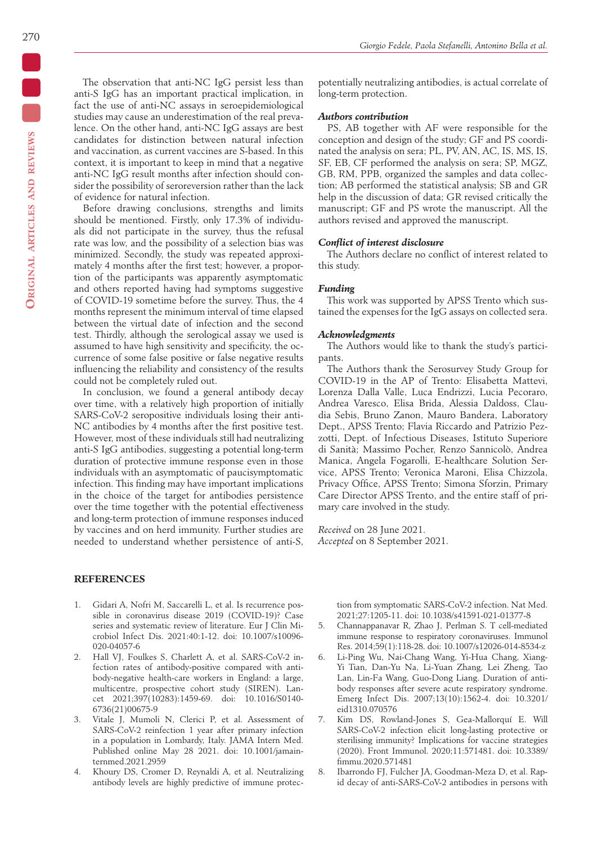The observation that anti-NC IgG persist less than anti-S IgG has an important practical implication, in fact the use of anti-NC assays in seroepidemiological studies may cause an underestimation of the real prevalence. On the other hand, anti-NC IgG assays are best candidates for distinction between natural infection and vaccination, as current vaccines are S-based. In this context, it is important to keep in mind that a negative anti-NC IgG result months after infection should consider the possibility of seroreversion rather than the lack of evidence for natural infection.

Before drawing conclusions, strengths and limits should be mentioned. Firstly, only 17.3% of individuals did not participate in the survey, thus the refusal rate was low, and the possibility of a selection bias was minimized. Secondly, the study was repeated approximately 4 months after the first test; however, a proportion of the participants was apparently asymptomatic and others reported having had symptoms suggestive of COVID-19 sometime before the survey. Thus, the 4 months represent the minimum interval of time elapsed between the virtual date of infection and the second test. Thirdly, although the serological assay we used is assumed to have high sensitivity and specificity, the occurrence of some false positive or false negative results influencing the reliability and consistency of the results could not be completely ruled out.

In conclusion, we found a general antibody decay over time, with a relatively high proportion of initially SARS-CoV-2 seropositive individuals losing their anti-NC antibodies by 4 months after the first positive test. However, most of these individuals still had neutralizing anti-S IgG antibodies, suggesting a potential long-term duration of protective immune response even in those individuals with an asymptomatic of paucisymptomatic infection. This finding may have important implications in the choice of the target for antibodies persistence over the time together with the potential effectiveness and long-term protection of immune responses induced by vaccines and on herd immunity. Further studies are needed to understand whether persistence of anti-S,

#### **REFERENCES**

- 1. Gidari A, Nofri M, Saccarelli L, et al. Is recurrence possible in coronavirus disease 2019 (COVID-19)? Case series and systematic review of literature. Eur J Clin Microbiol Infect Dis. 2021:40:1-12. doi: 10.1007/s10096- 020-04057-6
- 2. Hall VJ, Foulkes S, Charlett A, et al. SARS-CoV-2 infection rates of antibody-positive compared with antibody-negative health-care workers in England: a large, multicentre, prospective cohort study (SIREN). Lancet 2021;397(10283):1459-69. doi: 10.1016/S0140- 6736(21)00675-9
- 3. Vitale J, Mumoli N, Clerici P, et al. Assessment of SARS-CoV-2 reinfection 1 year after primary infection in a population in Lombardy, Italy. JAMA Intern Med. Published online May 28 2021. doi: 10.1001/jamainternmed.2021.2959
- 4. Khoury DS, Cromer D, Reynaldi A, et al. Neutralizing antibody levels are highly predictive of immune protec-

potentially neutralizing antibodies, is actual correlate of long-term protection.

#### *Authors contribution*

PS, AB together with AF were responsible for the conception and design of the study; GF and PS coordinated the analysis on sera; PL, PV, AN, AC, IS, MS, IS, SF, EB, CF performed the analysis on sera; SP, MGZ, GB, RM, PPB, organized the samples and data collection; AB performed the statistical analysis; SB and GR help in the discussion of data; GR revised critically the manuscript; GF and PS wrote the manuscript. All the authors revised and approved the manuscript.

#### *Conflict of interest disclosure*

The Authors declare no conflict of interest related to this study.

#### *Funding*

This work was supported by APSS Trento which sustained the expenses for the IgG assays on collected sera.

#### *Acknowledgments*

The Authors would like to thank the study's participants.

The Authors thank the Serosurvey Study Group for COVID-19 in the AP of Trento: Elisabetta Mattevi, Lorenza Dalla Valle, Luca Endrizzi, Lucia Pecoraro, Andrea Varesco, Elisa Brida, Alessia Daldoss, Claudia Sebis, Bruno Zanon, Mauro Bandera, Laboratory Dept., APSS Trento; Flavia Riccardo and Patrizio Pezzotti, Dept. of Infectious Diseases, Istituto Superiore di Sanità; Massimo Pocher, Renzo Sannicolò, Andrea Manica, Angela Fogarolli, E-healthcare Solution Service, APSS Trento; Veronica Maroni, Elisa Chizzola, Privacy Office, APSS Trento; Simona Sforzin, Primary Care Director APSS Trento, and the entire staff of primary care involved in the study.

*Received* on 28 June 2021. *Accepted* on 8 September 2021.

> tion from symptomatic SARS-CoV-2 infection. Nat Med. 2021;27:1205-11. doi: 10.1038/s41591-021-01377-8

- 5. Channappanavar R, Zhao J, Perlman S. T cell-mediated immune response to respiratory coronaviruses. Immunol Res. 2014;59(1):118-28. doi: 10.1007/s12026-014-8534-z
- 6. Li-Ping Wu, Nai-Chang Wang, Yi-Hua Chang, Xiang-Yi Tian, Dan-Yu Na, Li-Yuan Zhang, Lei Zheng, Tao Lan, Lin-Fa Wang, Guo-Dong Liang. Duration of antibody responses after severe acute respiratory syndrome. Emerg Infect Dis. 2007;13(10):1562-4. doi: 10.3201/ eid1310.070576
- 7. Kim DS, Rowland-Jones S, Gea-Mallorquí E. Will SARS-CoV-2 infection elicit long-lasting protective or sterilising immunity? Implications for vaccine strategies (2020). Front Immunol. 2020;11:571481. doi: 10.3389/ fimmu.2020.571481
- 8. Ibarrondo FJ, Fulcher JA, Goodman-Meza D, et al. Rapid decay of anti-SARS-CoV-2 antibodies in persons with